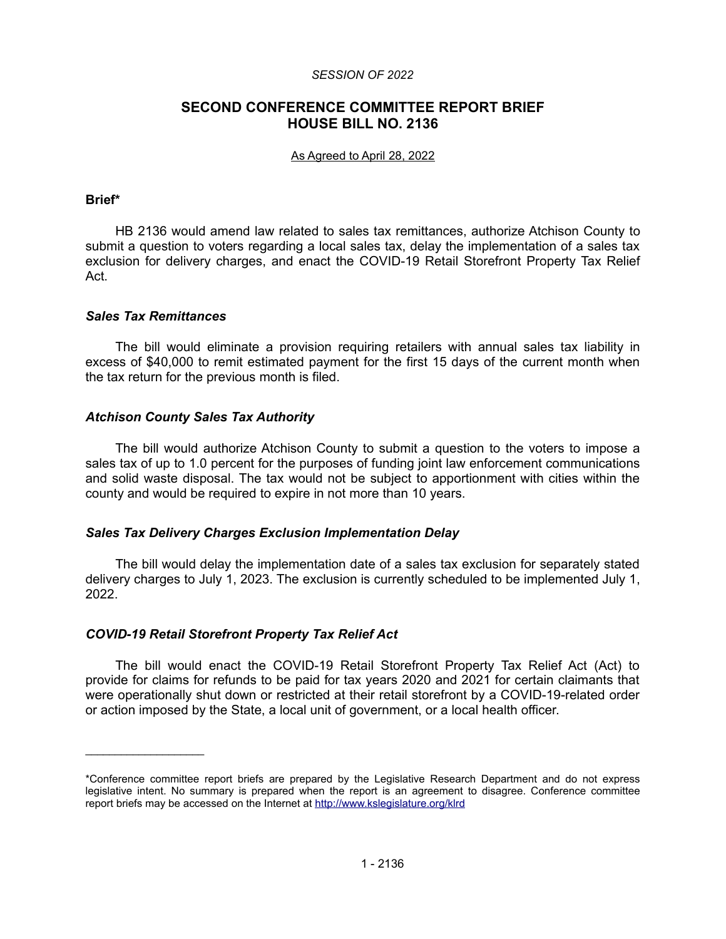### *SESSION OF 2022*

# **SECOND CONFERENCE COMMITTEE REPORT BRIEF HOUSE BILL NO. 2136**

### As Agreed to April 28, 2022

### **Brief\***

HB 2136 would amend law related to sales tax remittances, authorize Atchison County to submit a question to voters regarding a local sales tax, delay the implementation of a sales tax exclusion for delivery charges, and enact the COVID-19 Retail Storefront Property Tax Relief Act.

### *Sales Tax Remittances*

 $\mathcal{L}_\text{max}$  , where  $\mathcal{L}_\text{max}$ 

The bill would eliminate a provision requiring retailers with annual sales tax liability in excess of \$40,000 to remit estimated payment for the first 15 days of the current month when the tax return for the previous month is filed.

# *Atchison County Sales Tax Authority*

The bill would authorize Atchison County to submit a question to the voters to impose a sales tax of up to 1.0 percent for the purposes of funding joint law enforcement communications and solid waste disposal. The tax would not be subject to apportionment with cities within the county and would be required to expire in not more than 10 years.

# *Sales Tax Delivery Charges Exclusion Implementation Delay*

The bill would delay the implementation date of a sales tax exclusion for separately stated delivery charges to July 1, 2023. The exclusion is currently scheduled to be implemented July 1, 2022.

# *COVID-19 Retail Storefront Property Tax Relief Act*

The bill would enact the COVID-19 Retail Storefront Property Tax Relief Act (Act) to provide for claims for refunds to be paid for tax years 2020 and 2021 for certain claimants that were operationally shut down or restricted at their retail storefront by a COVID-19-related order or action imposed by the State, a local unit of government, or a local health officer.

<sup>\*</sup>Conference committee report briefs are prepared by the Legislative Research Department and do not express legislative intent. No summary is prepared when the report is an agreement to disagree. Conference committee report briefs may be accessed on the Internet at<http://www.kslegislature.org/klrd>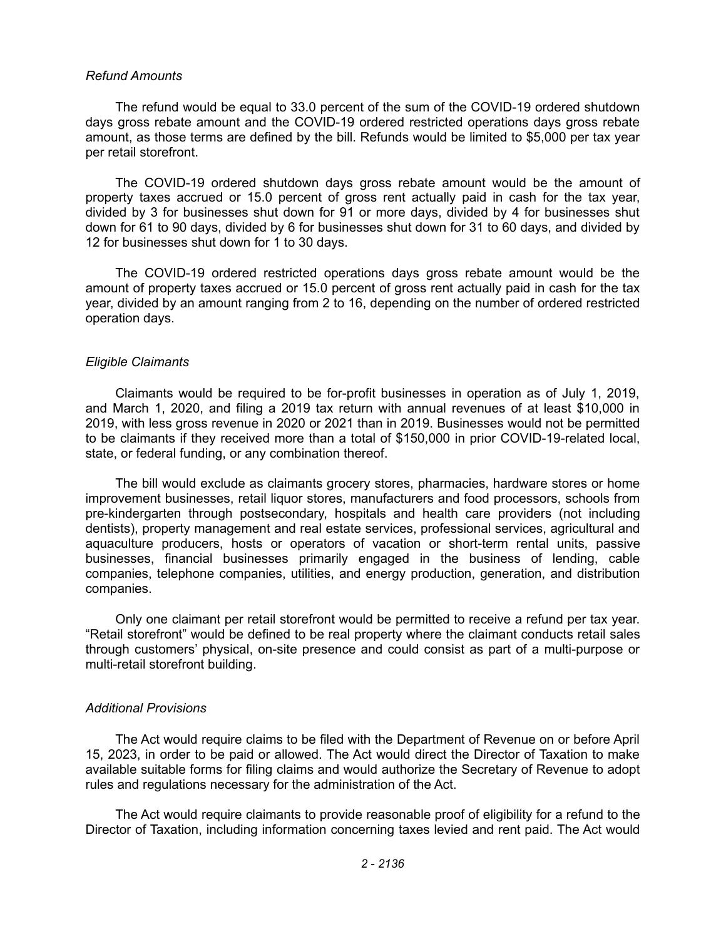### *Refund Amounts*

The refund would be equal to 33.0 percent of the sum of the COVID-19 ordered shutdown days gross rebate amount and the COVID-19 ordered restricted operations days gross rebate amount, as those terms are defined by the bill. Refunds would be limited to \$5,000 per tax year per retail storefront.

The COVID-19 ordered shutdown days gross rebate amount would be the amount of property taxes accrued or 15.0 percent of gross rent actually paid in cash for the tax year, divided by 3 for businesses shut down for 91 or more days, divided by 4 for businesses shut down for 61 to 90 days, divided by 6 for businesses shut down for 31 to 60 days, and divided by 12 for businesses shut down for 1 to 30 days.

The COVID-19 ordered restricted operations days gross rebate amount would be the amount of property taxes accrued or 15.0 percent of gross rent actually paid in cash for the tax year, divided by an amount ranging from 2 to 16, depending on the number of ordered restricted operation days.

#### *Eligible Claimants*

Claimants would be required to be for-profit businesses in operation as of July 1, 2019, and March 1, 2020, and filing a 2019 tax return with annual revenues of at least \$10,000 in 2019, with less gross revenue in 2020 or 2021 than in 2019. Businesses would not be permitted to be claimants if they received more than a total of \$150,000 in prior COVID-19-related local, state, or federal funding, or any combination thereof.

The bill would exclude as claimants grocery stores, pharmacies, hardware stores or home improvement businesses, retail liquor stores, manufacturers and food processors, schools from pre-kindergarten through postsecondary, hospitals and health care providers (not including dentists), property management and real estate services, professional services, agricultural and aquaculture producers, hosts or operators of vacation or short-term rental units, passive businesses, financial businesses primarily engaged in the business of lending, cable companies, telephone companies, utilities, and energy production, generation, and distribution companies.

Only one claimant per retail storefront would be permitted to receive a refund per tax year. "Retail storefront" would be defined to be real property where the claimant conducts retail sales through customers' physical, on-site presence and could consist as part of a multi-purpose or multi-retail storefront building.

#### *Additional Provisions*

The Act would require claims to be filed with the Department of Revenue on or before April 15, 2023, in order to be paid or allowed. The Act would direct the Director of Taxation to make available suitable forms for filing claims and would authorize the Secretary of Revenue to adopt rules and regulations necessary for the administration of the Act.

The Act would require claimants to provide reasonable proof of eligibility for a refund to the Director of Taxation, including information concerning taxes levied and rent paid. The Act would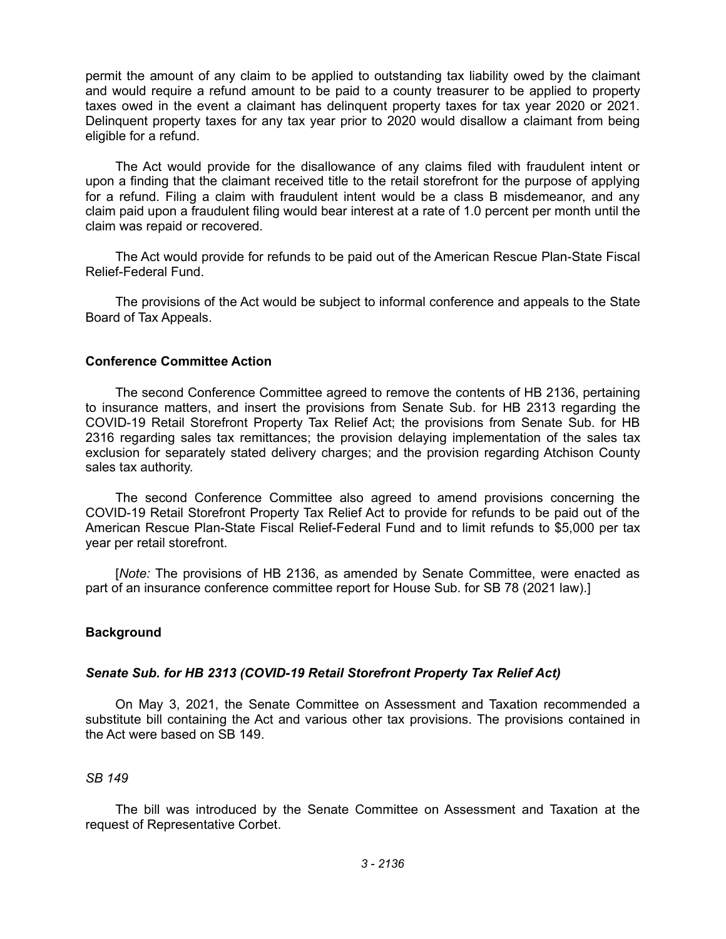permit the amount of any claim to be applied to outstanding tax liability owed by the claimant and would require a refund amount to be paid to a county treasurer to be applied to property taxes owed in the event a claimant has delinquent property taxes for tax year 2020 or 2021. Delinquent property taxes for any tax year prior to 2020 would disallow a claimant from being eligible for a refund.

The Act would provide for the disallowance of any claims filed with fraudulent intent or upon a finding that the claimant received title to the retail storefront for the purpose of applying for a refund. Filing a claim with fraudulent intent would be a class B misdemeanor, and any claim paid upon a fraudulent filing would bear interest at a rate of 1.0 percent per month until the claim was repaid or recovered.

The Act would provide for refunds to be paid out of the American Rescue Plan-State Fiscal Relief-Federal Fund.

The provisions of the Act would be subject to informal conference and appeals to the State Board of Tax Appeals.

# **Conference Committee Action**

The second Conference Committee agreed to remove the contents of HB 2136, pertaining to insurance matters, and insert the provisions from Senate Sub. for HB 2313 regarding the COVID-19 Retail Storefront Property Tax Relief Act; the provisions from Senate Sub. for HB 2316 regarding sales tax remittances; the provision delaying implementation of the sales tax exclusion for separately stated delivery charges; and the provision regarding Atchison County sales tax authority.

The second Conference Committee also agreed to amend provisions concerning the COVID-19 Retail Storefront Property Tax Relief Act to provide for refunds to be paid out of the American Rescue Plan-State Fiscal Relief-Federal Fund and to limit refunds to \$5,000 per tax year per retail storefront.

[*Note:* The provisions of HB 2136, as amended by Senate Committee, were enacted as part of an insurance conference committee report for House Sub. for SB 78 (2021 law).]

# **Background**

# *Senate Sub. for HB 2313 (COVID-19 Retail Storefront Property Tax Relief Act)*

On May 3, 2021, the Senate Committee on Assessment and Taxation recommended a substitute bill containing the Act and various other tax provisions. The provisions contained in the Act were based on SB 149.

# *SB 149*

The bill was introduced by the Senate Committee on Assessment and Taxation at the request of Representative Corbet.